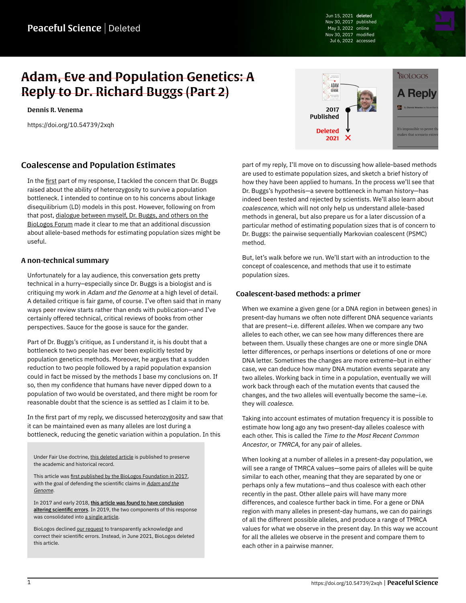Jun 15, 2021 deleted Nov 30, 2017 published May 3, 2022 online Nov 30, 2017 modified Jul 6, 2022 accessed

# Adam, Eve and Population Genetics: A Reply to Dr. Richard Buggs (Part 2)

[Dennis R. Venema](https://peacefulscience.org/authors/dennis-venema/)

<https://doi.org/10.54739/2xqh>



## Coalescense and Population Estimates

In the [first](https://peacefulscience.org/prints/deleted/adam-eve-and-population-genetics-a-reply-to-dr-richard-buggs-part-1/) part of my response, I tackled the concern that Dr. Buggs raised about the ability of heterozygosity to survive a population bottleneck. I intended to continue on to his concerns about linkage disequilibrium (LD) models in this post. However, following on from that post, [dialogue between myself, Dr. Buggs, and others on the](https://discourse.biologos.org/t/adam-eve-and-population-genetics-a-reply-to-dr-richard-buggs-part-1/37039/10) [BioLogos Forum](https://discourse.biologos.org/t/adam-eve-and-population-genetics-a-reply-to-dr-richard-buggs-part-1/37039/10) made it clear to me that an additional discussion about allele-based methods for estimating population sizes might be useful.

#### A non-technical summary

Unfortunately for a lay audience, this conversation gets pretty technical in a hurry–especially since Dr. Buggs is a biologist and is critiquing my work in Adam and the Genome at a high level of detail. A detailed critique is fair game, of course. I've often said that in many ways peer review starts rather than ends with publication—and I've certainly offered technical, critical reviews of books from other perspectives. Sauce for the goose is sauce for the gander.

Part of Dr. Buggs's critique, as I understand it, is his doubt that a bottleneck to two people has ever been explicitly tested by population genetics methods. Moreover, he argues that a sudden reduction to two people followed by a rapid population expansion could in fact be missed by the methods I base my conclusions on. If so, then my confidence that humans have never dipped down to a population of two would be overstated, and there might be room for reasonable doubt that the science is as settled as I claim it to be.

In the first part of my reply, we discussed heterozygosity and saw that it can be maintained even as many alleles are lost during a bottleneck, reducing the genetic variation within a population. In this

Under Fair Use doctrine, [this deleted article](https://web.archive.org/web/20200106044804/https://biologos.org/articles/a-reply-to-dr-richard-buggs) is published to preserve the academic and historical record.

This article was [first published by the BioLogos Foundation in 2017](https://biologos.org/blogs/dennis-venema-letters-to-the-duchess/adam-eve-and-population-genetics-a-reply-to-dr-richard-buggs-part-1), with the goal of defending the scientific claims in [Adam and the](https://peacefulscience.org/books/adam-genome/) [Genome](https://peacefulscience.org/books/adam-genome/).

In 2017 and early 2018, [this article was found to have conclusion](https://peacefulscience.org/articles/three-stories-on-adam/) [altering scientific errors.](https://peacefulscience.org/articles/three-stories-on-adam/) In 2019, the two components of this response was consolidated into [a single article.](https://web.archive.org/web/20200106044804/https://biologos.org/articles/a-reply-to-dr-richard-buggs)

BioLogos declined [our request](https://peacefulscience.org/articles/biologos-stealth-deletes-an-article/) to transparently acknowledge and correct their scientific errors. Instead, in June 2021, BioLogos deleted this article.

part of my reply, I'll move on to discussing how allele-based methods are used to estimate population sizes, and sketch a brief history of how they have been applied to humans. In the process we'll see that Dr. Buggs's hypothesis—a severe bottleneck in human history—has indeed been tested and rejected by scientists. We'll also learn about coalescence, which will not only help us understand allele-based methods in general, but also prepare us for a later discussion of a particular method of estimating population sizes that is of concern to Dr. Buggs: the pairwise sequentially Markovian coalescent (PSMC) method.

But, let's walk before we run. We'll start with an introduction to the concept of coalescence, and methods that use it to estimate population sizes.

#### Coalescent-based methods: a primer

When we examine a given gene (or a DNA region in between genes) in present-day humans we often note different DNA sequence variants that are present-i.e. different alleles. When we compare any two alleles to each other, we can see how many differences there are between them. Usually these changes are one or more single DNA letter differences, or perhaps insertions or deletions of one or more DNA letter. Sometimes the changes are more extreme–but in either case, we can deduce how many DNA mutation events separate any two alleles. Working back in time in a population, eventually we will work back through each of the mutation events that caused the changes, and the two alleles will eventually become the same–i.e. they will coalesce.

Taking into account estimates of mutation frequency it is possible to estimate how long ago any two present-day alleles coalesce with each other. This is called the Time to the Most Recent Common Ancestor, or TMRCA, for any pair of alleles.

When looking at a number of alleles in a present-day population, we will see a range of TMRCA values—some pairs of alleles will be quite similar to each other, meaning that they are separated by one or perhaps only a few mutations—and thus coalesce with each other recently in the past. Other allele pairs will have many more differences, and coalesce further back in time. For a gene or DNA region with many alleles in present-day humans, we can do pairings of all the different possible alleles, and produce a range of TMRCA values for what we observe in the present day. In this way we account for all the alleles we observe in the present and compare them to each other in a pairwise manner.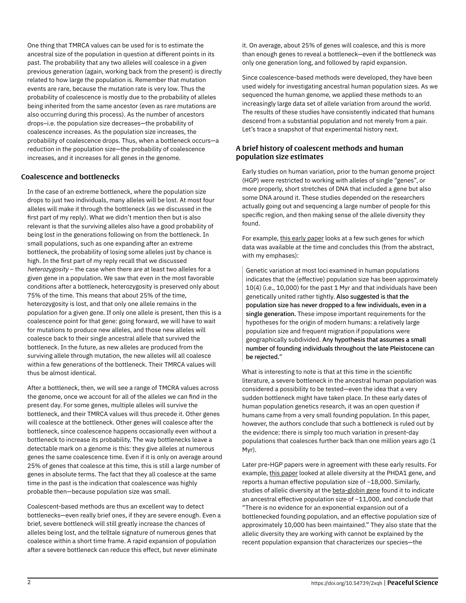One thing that TMRCA values can be used for is to estimate the ancestral size of the population in question at different points in its past. The probability that any two alleles will coalesce in a given previous generation (again, working back from the present) is directly related to how large the population is. Remember that mutation events are rare, because the mutation rate is very low. Thus the probability of coalescence is mostly due to the probability of alleles being inherited from the same ancestor (even as rare mutations are also occurring during this process). As the number of ancestors drops–i.e. the population size decreases—the probability of coalescence increases. As the population size increases, the probability of coalescence drops. Thus, when a bottleneck occurs—a reduction in the population size—the probability of coalescence increases, and it increases for all genes in the genome.

#### Coalescence and bottlenecks

In the case of an extreme bottleneck, where the population size drops to just two individuals, many alleles will be lost. At most four alleles will make it through the bottleneck (as we discussed in the first part of my reply). What we didn't mention then but is also relevant is that the surviving alleles also have a good probability of being lost in the generations following on from the bottleneck. In small populations, such as one expanding after an extreme bottleneck, the probability of losing some alleles just by chance is high. In the first part of my reply recall that we discussed heterozygosity – the case when there are at least two alleles for a given gene in a population. We saw that even in the most favorable conditions after a bottleneck, heterozygosity is preserved only about 75% of the time. This means that about 25% of the time, heterozygosity is lost, and that only one allele remains in the population for a given gene. If only one allele is present, then this is a coalescence point for that gene: going forward, we will have to wait for mutations to produce new alleles, and those new alleles will coalesce back to their single ancestral allele that survived the bottleneck. In the future, as new alleles are produced from the surviving allele through mutation, the new alleles will all coalesce within a few generations of the bottleneck. Their TMRCA values will thus be almost identical.

After a bottleneck, then, we will see a range of TMCRA values across the genome, once we account for all of the alleles we can find in the present day. For some genes, multiple alleles will survive the bottleneck, and their TMRCA values will thus precede it. Other genes will coalesce at the bottleneck. Other genes will coalesce after the bottleneck, since coalescence happens occasionally even without a bottleneck to increase its probability. The way bottlenecks leave a detectable mark on a genome is this: they give alleles at numerous genes the same coalescence time. Even if it is only on average around 25% of genes that coalesce at this time, this is still a large number of genes in absolute terms. The fact that they all coalesce at the same time in the past is the indication that coalescence was highly probable then—because population size was small.

Coalescent-based methods are thus an excellent way to detect bottlenecks—even really brief ones, if they are severe enough. Even a brief, severe bottleneck will still greatly increase the chances of alleles being lost, and the telltale signature of numerous genes that coalesce within a short time frame. A rapid expansion of population after a severe bottleneck can reduce this effect, but never eliminate

it. On average, about 25% of genes will coalesce, and this is more than enough genes to reveal a bottleneck—even if the bottleneck was only one generation long, and followed by rapid expansion.

Since coalescence-based methods were developed, they have been used widely for investigating ancestral human population sizes. As we sequenced the human genome, we applied these methods to an increasingly large data set of allele variation from around the world. The results of these studies have consistently indicated that humans descend from a substantial population and not merely from a pair. Let's trace a snapshot of that experimental history next.

#### A brief history of coalescent methods and human population size estimates

Early studies on human variation, prior to the human genome project (HGP) were restricted to working with alleles of single "genes", or more properly, short stretches of DNA that included a gene but also some DNA around it. These studies depended on the researchers actually going out and sequencing a large number of people for this specific region, and then making sense of the allele diversity they found.

For example, [this early paper](https://academic.oup.com/mbe/article/10/1/2/1030040) looks at a few such genes for which data was available at the time and concludes this (from the abstract, with my emphases):

Genetic variation at most loci examined in human populations indicates that the (effective) population size has been approximately 10(4) (i.e., 10,000) for the past 1 Myr and that individuals have been genetically united rather tightly. Also suggested is that the population size has never dropped to a few individuals, even in a single generation. These impose important requirements for the hypotheses for the origin of modern humans: a relatively large population size and frequent migration if populations were geographically subdivided. Any hypothesis that assumes a small number of founding individuals throughout the late Pleistocene can be rejected."

What is interesting to note is that at this time in the scientific literature, a severe bottleneck in the ancestral human population was considered a possibility to be tested—even the idea that a very sudden bottleneck might have taken place. In these early dates of human population genetics research, it was an open question if humans came from a very small founding population. In this paper, however, the authors conclude that such a bottleneck is ruled out by the evidence: there is simply too much variation in present-day populations that coalesces further back than one million years ago (1 Myr).

Later pre-HGP papers were in agreement with these early results. For example, [this paper](https://www.pnas.org/content/96/6/3320.full) looked at allele diversity at the PHDA1 gene, and reports a human effective population size of ~18,000. Similarly, studies of allelic diversity at the [beta-globin gene](https://www.ncbi.nlm.nih.gov/pmc/articles/PMC1712470) found it to indicate an ancestral effective population size of ~11,000, and conclude that "There is no evidence for an exponential expansion out of a bottlenecked founding population, and an effective population size of approximately 10,000 has been maintained." They also state that the allelic diversity they are working with cannot be explained by the recent population expansion that characterizes our species—the